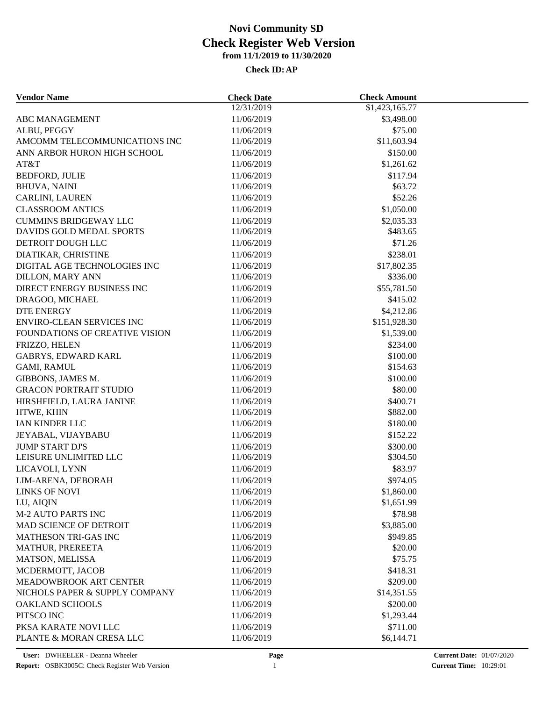| <b>Vendor Name</b>                              | <b>Check Date</b> | <b>Check Amount</b> |  |
|-------------------------------------------------|-------------------|---------------------|--|
|                                                 | 12/31/2019        | \$1,423,165.77      |  |
| ABC MANAGEMENT                                  | 11/06/2019        | \$3,498.00          |  |
| ALBU, PEGGY                                     | 11/06/2019        | \$75.00             |  |
| AMCOMM TELECOMMUNICATIONS INC                   | 11/06/2019        | \$11,603.94         |  |
| ANN ARBOR HURON HIGH SCHOOL                     | 11/06/2019        | \$150.00            |  |
| AT&T                                            | 11/06/2019        | \$1,261.62          |  |
| BEDFORD, JULIE                                  | 11/06/2019        | \$117.94            |  |
| <b>BHUVA, NAINI</b>                             | 11/06/2019        | \$63.72             |  |
| CARLINI, LAUREN                                 | 11/06/2019        | \$52.26             |  |
| <b>CLASSROOM ANTICS</b>                         | 11/06/2019        | \$1,050.00          |  |
| <b>CUMMINS BRIDGEWAY LLC</b>                    | 11/06/2019        | \$2,035.33          |  |
| DAVIDS GOLD MEDAL SPORTS                        | 11/06/2019        | \$483.65            |  |
| DETROIT DOUGH LLC                               | 11/06/2019        | \$71.26             |  |
| DIATIKAR, CHRISTINE                             | 11/06/2019        | \$238.01            |  |
| DIGITAL AGE TECHNOLOGIES INC                    | 11/06/2019        | \$17,802.35         |  |
| <b>DILLON, MARY ANN</b>                         | 11/06/2019        | \$336.00            |  |
| DIRECT ENERGY BUSINESS INC                      | 11/06/2019        | \$55,781.50         |  |
| DRAGOO, MICHAEL                                 | 11/06/2019        | \$415.02            |  |
| <b>DTE ENERGY</b>                               | 11/06/2019        | \$4,212.86          |  |
| <b>ENVIRO-CLEAN SERVICES INC</b>                | 11/06/2019        | \$151,928.30        |  |
| FOUNDATIONS OF CREATIVE VISION                  | 11/06/2019        | \$1,539.00          |  |
| FRIZZO, HELEN                                   | 11/06/2019        | \$234.00            |  |
| <b>GABRYS, EDWARD KARL</b>                      | 11/06/2019        | \$100.00            |  |
| <b>GAMI, RAMUL</b>                              | 11/06/2019        | \$154.63            |  |
| GIBBONS, JAMES M.                               | 11/06/2019        | \$100.00            |  |
| <b>GRACON PORTRAIT STUDIO</b>                   | 11/06/2019        | \$80.00             |  |
| HIRSHFIELD, LAURA JANINE                        | 11/06/2019        | \$400.71            |  |
| HTWE, KHIN                                      | 11/06/2019        | \$882.00            |  |
| IAN KINDER LLC                                  | 11/06/2019        | \$180.00            |  |
| JEYABAL, VIJAYBABU                              | 11/06/2019        | \$152.22            |  |
| <b>JUMP START DJ'S</b>                          | 11/06/2019        | \$300.00            |  |
| LEISURE UNLIMITED LLC                           | 11/06/2019        | \$304.50            |  |
| LICAVOLI, LYNN                                  | 11/06/2019        | \$83.97             |  |
| LIM-ARENA, DEBORAH                              | 11/06/2019        | \$974.05            |  |
| LINKS OF NOVI                                   | 11/06/2019        | \$1,860.00          |  |
| LU, AIQIN                                       | 11/06/2019        | \$1,651.99          |  |
| <b>M-2 AUTO PARTS INC</b>                       | 11/06/2019        | \$78.98             |  |
| MAD SCIENCE OF DETROIT                          | 11/06/2019        |                     |  |
|                                                 |                   | \$3,885.00          |  |
| <b>MATHESON TRI-GAS INC</b><br>MATHUR, PREREETA | 11/06/2019        | \$949.85            |  |
|                                                 | 11/06/2019        | \$20.00             |  |
| MATSON, MELISSA                                 | 11/06/2019        | \$75.75             |  |
| MCDERMOTT, JACOB                                | 11/06/2019        | \$418.31            |  |
| MEADOWBROOK ART CENTER                          | 11/06/2019        | \$209.00            |  |
| NICHOLS PAPER & SUPPLY COMPANY                  | 11/06/2019        | \$14,351.55         |  |
| <b>OAKLAND SCHOOLS</b>                          | 11/06/2019        | \$200.00            |  |
| PITSCO INC                                      | 11/06/2019        | \$1,293.44          |  |
| PKSA KARATE NOVI LLC                            | 11/06/2019        | \$711.00            |  |
| PLANTE & MORAN CRESA LLC                        | 11/06/2019        | \$6,144.71          |  |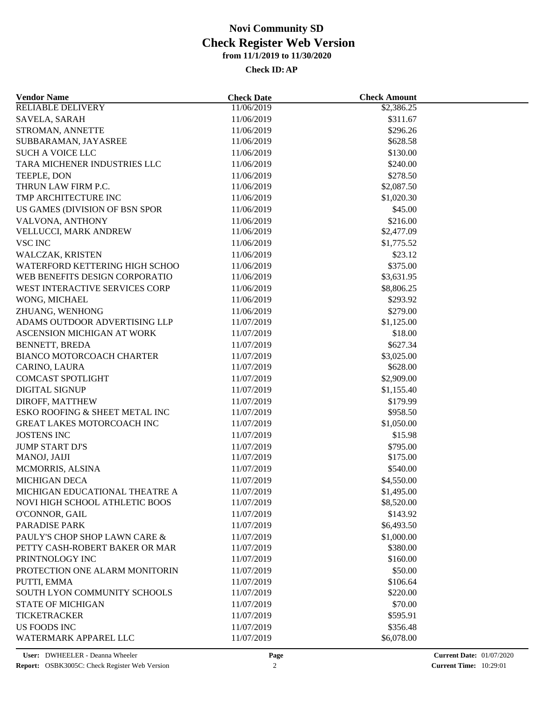| <b>Vendor Name</b>                                | <b>Check Date</b>        | <b>Check Amount</b>  |  |
|---------------------------------------------------|--------------------------|----------------------|--|
| <b>RELIABLE DELIVERY</b>                          | 11/06/2019               | \$2,386.25           |  |
| SAVELA, SARAH                                     | 11/06/2019               | \$311.67             |  |
| STROMAN, ANNETTE                                  | 11/06/2019               | \$296.26             |  |
| SUBBARAMAN, JAYASREE                              | 11/06/2019               | \$628.58             |  |
| <b>SUCH A VOICE LLC</b>                           | 11/06/2019               | \$130.00             |  |
| TARA MICHENER INDUSTRIES LLC                      | 11/06/2019               | \$240.00             |  |
| TEEPLE, DON                                       | 11/06/2019               | \$278.50             |  |
| THRUN LAW FIRM P.C.                               | 11/06/2019               | \$2,087.50           |  |
| TMP ARCHITECTURE INC                              | 11/06/2019               | \$1,020.30           |  |
| US GAMES (DIVISION OF BSN SPOR                    | 11/06/2019               | \$45.00              |  |
| VALVONA, ANTHONY                                  | 11/06/2019               | \$216.00             |  |
| VELLUCCI, MARK ANDREW                             | 11/06/2019               | \$2,477.09           |  |
| <b>VSC INC</b>                                    | 11/06/2019               | \$1,775.52           |  |
| WALCZAK, KRISTEN                                  | 11/06/2019               | \$23.12              |  |
| WATERFORD KETTERING HIGH SCHOO                    | 11/06/2019               | \$375.00             |  |
| WEB BENEFITS DESIGN CORPORATIO                    | 11/06/2019               | \$3,631.95           |  |
| WEST INTERACTIVE SERVICES CORP                    | 11/06/2019               | \$8,806.25           |  |
| WONG, MICHAEL                                     | 11/06/2019               | \$293.92             |  |
| ZHUANG, WENHONG                                   | 11/06/2019               | \$279.00             |  |
| ADAMS OUTDOOR ADVERTISING LLP                     | 11/07/2019               | \$1,125.00           |  |
| ASCENSION MICHIGAN AT WORK                        | 11/07/2019               | \$18.00              |  |
| <b>BENNETT, BREDA</b>                             | 11/07/2019               | \$627.34             |  |
| BIANCO MOTORCOACH CHARTER                         | 11/07/2019               | \$3,025.00           |  |
| CARINO, LAURA                                     | 11/07/2019               | \$628.00             |  |
| <b>COMCAST SPOTLIGHT</b>                          | 11/07/2019               | \$2,909.00           |  |
| <b>DIGITAL SIGNUP</b>                             | 11/07/2019               | \$1,155.40           |  |
|                                                   |                          |                      |  |
| DIROFF, MATTHEW<br>ESKO ROOFING & SHEET METAL INC | 11/07/2019<br>11/07/2019 | \$179.99<br>\$958.50 |  |
| <b>GREAT LAKES MOTORCOACH INC</b>                 |                          |                      |  |
|                                                   | 11/07/2019               | \$1,050.00           |  |
| <b>JOSTENS INC</b>                                | 11/07/2019               | \$15.98              |  |
| <b>JUMP START DJ'S</b>                            | 11/07/2019               | \$795.00             |  |
| MANOJ, JAIJI                                      | 11/07/2019               | \$175.00             |  |
| MCMORRIS, ALSINA                                  | 11/07/2019               | \$540.00             |  |
| <b>MICHIGAN DECA</b>                              | 11/07/2019               | \$4,550.00           |  |
| MICHIGAN EDUCATIONAL THEATRE A                    | 11/07/2019               | \$1,495.00           |  |
| NOVI HIGH SCHOOL ATHLETIC BOOS                    | 11/07/2019               | \$8,520.00           |  |
| O'CONNOR, GAIL                                    | 11/07/2019               | \$143.92             |  |
| PARADISE PARK                                     | 11/07/2019               | \$6,493.50           |  |
| PAULY'S CHOP SHOP LAWN CARE &                     | 11/07/2019               | \$1,000.00           |  |
| PETTY CASH-ROBERT BAKER OR MAR                    | 11/07/2019               | \$380.00             |  |
| PRINTNOLOGY INC                                   | 11/07/2019               | \$160.00             |  |
| PROTECTION ONE ALARM MONITORIN                    | 11/07/2019               | \$50.00              |  |
| PUTTI, EMMA                                       | 11/07/2019               | \$106.64             |  |
| SOUTH LYON COMMUNITY SCHOOLS                      | 11/07/2019               | \$220.00             |  |
| <b>STATE OF MICHIGAN</b>                          | 11/07/2019               | \$70.00              |  |
| <b>TICKETRACKER</b>                               | 11/07/2019               | \$595.91             |  |
| <b>US FOODS INC</b>                               | 11/07/2019               | \$356.48             |  |
| WATERMARK APPAREL LLC                             | 11/07/2019               | \$6,078.00           |  |
|                                                   |                          |                      |  |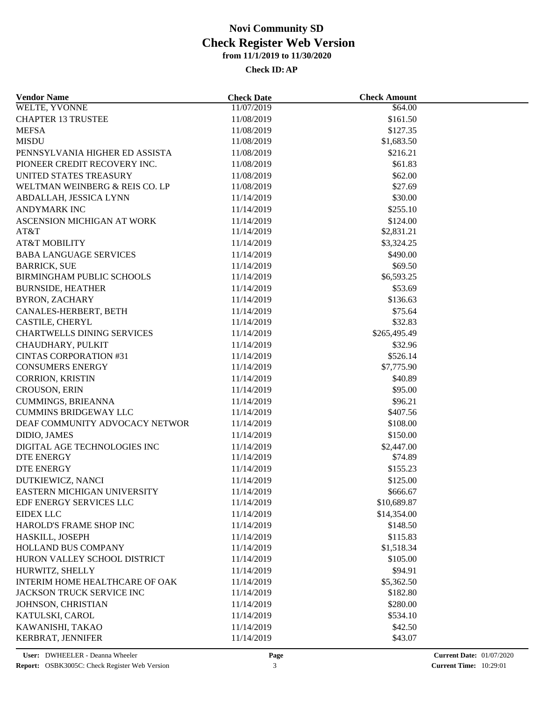| <b>Vendor Name</b>                | <b>Check Date</b> | <b>Check Amount</b> |  |
|-----------------------------------|-------------------|---------------------|--|
| <b>WELTE, YVONNE</b>              | 11/07/2019        | \$64.00             |  |
| <b>CHAPTER 13 TRUSTEE</b>         | 11/08/2019        | \$161.50            |  |
| <b>MEFSA</b>                      | 11/08/2019        | \$127.35            |  |
| <b>MISDU</b>                      | 11/08/2019        | \$1,683.50          |  |
| PENNSYLVANIA HIGHER ED ASSISTA    | 11/08/2019        | \$216.21            |  |
| PIONEER CREDIT RECOVERY INC.      | 11/08/2019        | \$61.83             |  |
| UNITED STATES TREASURY            | 11/08/2019        | \$62.00             |  |
| WELTMAN WEINBERG & REIS CO. LP    | 11/08/2019        | \$27.69             |  |
| ABDALLAH, JESSICA LYNN            | 11/14/2019        | \$30.00             |  |
| <b>ANDYMARK INC</b>               | 11/14/2019        | \$255.10            |  |
| ASCENSION MICHIGAN AT WORK        | 11/14/2019        | \$124.00            |  |
| AT&T                              | 11/14/2019        | \$2,831.21          |  |
| <b>AT&amp;T MOBILITY</b>          | 11/14/2019        | \$3,324.25          |  |
| <b>BABA LANGUAGE SERVICES</b>     | 11/14/2019        | \$490.00            |  |
| <b>BARRICK, SUE</b>               | 11/14/2019        | \$69.50             |  |
| BIRMINGHAM PUBLIC SCHOOLS         | 11/14/2019        | \$6,593.25          |  |
| <b>BURNSIDE, HEATHER</b>          | 11/14/2019        | \$53.69             |  |
| <b>BYRON, ZACHARY</b>             | 11/14/2019        | \$136.63            |  |
|                                   |                   |                     |  |
| CANALES-HERBERT, BETH             | 11/14/2019        | \$75.64             |  |
| CASTILE, CHERYL                   | 11/14/2019        | \$32.83             |  |
| <b>CHARTWELLS DINING SERVICES</b> | 11/14/2019        | \$265,495.49        |  |
| CHAUDHARY, PULKIT                 | 11/14/2019        | \$32.96             |  |
| <b>CINTAS CORPORATION #31</b>     | 11/14/2019        | \$526.14            |  |
| <b>CONSUMERS ENERGY</b>           | 11/14/2019        | \$7,775.90          |  |
| <b>CORRION, KRISTIN</b>           | 11/14/2019        | \$40.89             |  |
| <b>CROUSON, ERIN</b>              | 11/14/2019        | \$95.00             |  |
| <b>CUMMINGS, BRIEANNA</b>         | 11/14/2019        | \$96.21             |  |
| <b>CUMMINS BRIDGEWAY LLC</b>      | 11/14/2019        | \$407.56            |  |
| DEAF COMMUNITY ADVOCACY NETWOR    | 11/14/2019        | \$108.00            |  |
| DIDIO, JAMES                      | 11/14/2019        | \$150.00            |  |
| DIGITAL AGE TECHNOLOGIES INC      | 11/14/2019        | \$2,447.00          |  |
| <b>DTE ENERGY</b>                 | 11/14/2019        | \$74.89             |  |
| DTE ENERGY                        | 11/14/2019        | \$155.23            |  |
| DUTKIEWICZ, NANCI                 | 11/14/2019        | \$125.00            |  |
| EASTERN MICHIGAN UNIVERSITY       | 11/14/2019        | \$666.67            |  |
| EDF ENERGY SERVICES LLC           | 11/14/2019        | \$10,689.87         |  |
| <b>EIDEX LLC</b>                  | 11/14/2019        | \$14,354.00         |  |
| HAROLD'S FRAME SHOP INC           | 11/14/2019        | \$148.50            |  |
| HASKILL, JOSEPH                   | 11/14/2019        | \$115.83            |  |
| <b>HOLLAND BUS COMPANY</b>        | 11/14/2019        | \$1,518.34          |  |
| HURON VALLEY SCHOOL DISTRICT      | 11/14/2019        | \$105.00            |  |
| HURWITZ, SHELLY                   | 11/14/2019        | \$94.91             |  |
| INTERIM HOME HEALTHCARE OF OAK    | 11/14/2019        | \$5,362.50          |  |
| <b>JACKSON TRUCK SERVICE INC</b>  | 11/14/2019        | \$182.80            |  |
| JOHNSON, CHRISTIAN                | 11/14/2019        | \$280.00            |  |
| KATULSKI, CAROL                   | 11/14/2019        | \$534.10            |  |
| KAWANISHI, TAKAO                  | 11/14/2019        | \$42.50             |  |
| KERBRAT, JENNIFER                 | 11/14/2019        | \$43.07             |  |
|                                   |                   |                     |  |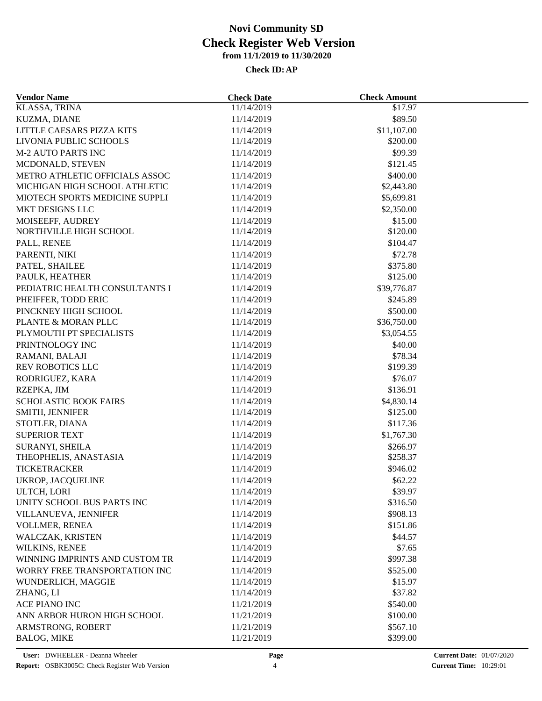| <b>Vendor Name</b>                              | <b>Check Date</b>        | <b>Check Amount</b>    |  |
|-------------------------------------------------|--------------------------|------------------------|--|
| <b>KLASSA, TRINA</b>                            | 11/14/2019               | \$17.97                |  |
| KUZMA, DIANE                                    | 11/14/2019               | \$89.50                |  |
| LITTLE CAESARS PIZZA KITS                       | 11/14/2019               | \$11,107.00            |  |
| LIVONIA PUBLIC SCHOOLS                          | 11/14/2019               | \$200.00               |  |
| <b>M-2 AUTO PARTS INC</b>                       | 11/14/2019               | \$99.39                |  |
| MCDONALD, STEVEN                                | 11/14/2019               | \$121.45               |  |
| METRO ATHLETIC OFFICIALS ASSOC                  | 11/14/2019               | \$400.00               |  |
| MICHIGAN HIGH SCHOOL ATHLETIC                   | 11/14/2019               | \$2,443.80             |  |
| MIOTECH SPORTS MEDICINE SUPPLI                  | 11/14/2019               | \$5,699.81             |  |
| MKT DESIGNS LLC                                 | 11/14/2019               | \$2,350.00             |  |
| MOISEEFF, AUDREY                                | 11/14/2019               | \$15.00                |  |
| NORTHVILLE HIGH SCHOOL                          | 11/14/2019               | \$120.00               |  |
| PALL, RENEE                                     | 11/14/2019               | \$104.47               |  |
| PARENTI, NIKI                                   | 11/14/2019               | \$72.78                |  |
| PATEL, SHAILEE                                  | 11/14/2019               | \$375.80               |  |
| PAULK, HEATHER                                  | 11/14/2019               | \$125.00               |  |
| PEDIATRIC HEALTH CONSULTANTS I                  | 11/14/2019               | \$39,776.87            |  |
| PHEIFFER, TODD ERIC                             | 11/14/2019               | \$245.89               |  |
| PINCKNEY HIGH SCHOOL                            | 11/14/2019               | \$500.00               |  |
| PLANTE & MORAN PLLC                             | 11/14/2019               | \$36,750.00            |  |
| PLYMOUTH PT SPECIALISTS                         | 11/14/2019               | \$3,054.55             |  |
| PRINTNOLOGY INC                                 | 11/14/2019               | \$40.00                |  |
| RAMANI, BALAJI                                  | 11/14/2019               | \$78.34                |  |
| REV ROBOTICS LLC                                | 11/14/2019               | \$199.39               |  |
| RODRIGUEZ, KARA                                 | 11/14/2019               | \$76.07                |  |
| RZEPKA, JIM                                     | 11/14/2019               | \$136.91               |  |
|                                                 |                          |                        |  |
| <b>SCHOLASTIC BOOK FAIRS</b><br>SMITH, JENNIFER | 11/14/2019<br>11/14/2019 | \$4,830.14<br>\$125.00 |  |
|                                                 | 11/14/2019               | \$117.36               |  |
| STOTLER, DIANA                                  |                          |                        |  |
| <b>SUPERIOR TEXT</b>                            | 11/14/2019               | \$1,767.30             |  |
| SURANYI, SHEILA                                 | 11/14/2019               | \$266.97               |  |
| THEOPHELIS, ANASTASIA                           | 11/14/2019               | \$258.37               |  |
| <b>TICKETRACKER</b>                             | 11/14/2019               | \$946.02               |  |
| <b>UKROP, JACQUELINE</b>                        | 11/14/2019               | \$62.22                |  |
| ULTCH, LORI                                     | 11/14/2019               | \$39.97                |  |
| UNITY SCHOOL BUS PARTS INC                      | 11/14/2019               | \$316.50               |  |
| VILLANUEVA, JENNIFER                            | 11/14/2019               | \$908.13               |  |
| VOLLMER, RENEA                                  | 11/14/2019               | \$151.86               |  |
| WALCZAK, KRISTEN                                | 11/14/2019               | \$44.57                |  |
| WILKINS, RENEE                                  | 11/14/2019               | \$7.65                 |  |
| WINNING IMPRINTS AND CUSTOM TR                  | 11/14/2019               | \$997.38               |  |
| WORRY FREE TRANSPORTATION INC                   | 11/14/2019               | \$525.00               |  |
| WUNDERLICH, MAGGIE                              | 11/14/2019               | \$15.97                |  |
| ZHANG, LI                                       | 11/14/2019               | \$37.82                |  |
| <b>ACE PIANO INC</b>                            | 11/21/2019               | \$540.00               |  |
| ANN ARBOR HURON HIGH SCHOOL                     | 11/21/2019               | \$100.00               |  |
| ARMSTRONG, ROBERT                               | 11/21/2019               | \$567.10               |  |
| <b>BALOG, MIKE</b>                              | 11/21/2019               | \$399.00               |  |
|                                                 |                          |                        |  |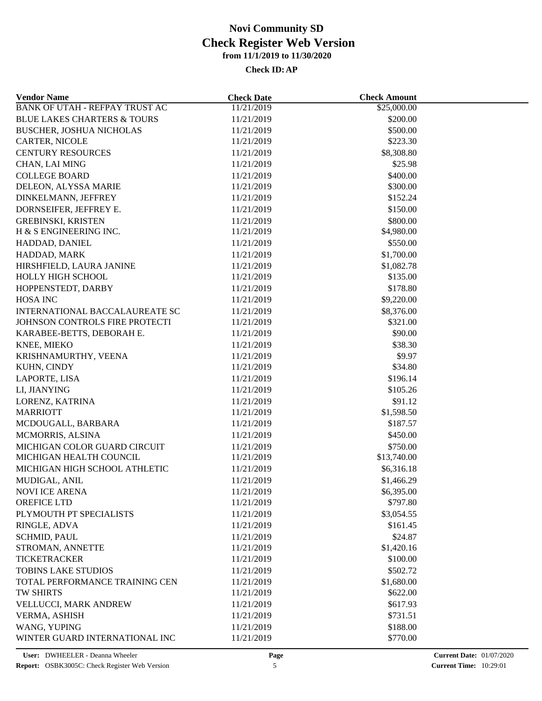| <b>Vendor Name</b>                     | <b>Check Date</b>        | <b>Check Amount</b> |  |
|----------------------------------------|--------------------------|---------------------|--|
| <b>BANK OF UTAH - REFPAY TRUST AC</b>  | 11/21/2019               | \$25,000.00         |  |
| <b>BLUE LAKES CHARTERS &amp; TOURS</b> | 11/21/2019               | \$200.00            |  |
| <b>BUSCHER, JOSHUA NICHOLAS</b>        | 11/21/2019               | \$500.00            |  |
| CARTER, NICOLE                         | 11/21/2019               | \$223.30            |  |
| <b>CENTURY RESOURCES</b>               | 11/21/2019               | \$8,308.80          |  |
| CHAN, LAI MING                         | 11/21/2019               | \$25.98             |  |
| <b>COLLEGE BOARD</b>                   | 11/21/2019               | \$400.00            |  |
| DELEON, ALYSSA MARIE                   | 11/21/2019               | \$300.00            |  |
| DINKELMANN, JEFFREY                    | 11/21/2019               | \$152.24            |  |
| DORNSEIFER, JEFFREY E.                 | 11/21/2019               | \$150.00            |  |
| <b>GREBINSKI, KRISTEN</b>              | 11/21/2019               | \$800.00            |  |
| H & S ENGINEERING INC.                 | 11/21/2019               | \$4,980.00          |  |
| HADDAD, DANIEL                         | 11/21/2019               | \$550.00            |  |
| HADDAD, MARK                           | 11/21/2019               | \$1,700.00          |  |
| HIRSHFIELD, LAURA JANINE               | 11/21/2019               | \$1,082.78          |  |
| HOLLY HIGH SCHOOL                      | 11/21/2019               | \$135.00            |  |
| HOPPENSTEDT, DARBY                     | 11/21/2019               | \$178.80            |  |
| <b>HOSA INC</b>                        | 11/21/2019               | \$9,220.00          |  |
| <b>INTERNATIONAL BACCALAUREATE SC</b>  | 11/21/2019               | \$8,376.00          |  |
| JOHNSON CONTROLS FIRE PROTECTI         | 11/21/2019               | \$321.00            |  |
| KARABEE-BETTS, DEBORAH E.              | 11/21/2019               | \$90.00             |  |
| KNEE, MIEKO                            | 11/21/2019               | \$38.30             |  |
| KRISHNAMURTHY, VEENA                   | 11/21/2019               | \$9.97              |  |
| KUHN, CINDY                            | 11/21/2019               | \$34.80             |  |
| LAPORTE, LISA                          | 11/21/2019               | \$196.14            |  |
| LI, JIANYING                           | 11/21/2019               | \$105.26            |  |
|                                        |                          | \$91.12             |  |
| LORENZ, KATRINA<br><b>MARRIOTT</b>     | 11/21/2019<br>11/21/2019 | \$1,598.50          |  |
|                                        |                          |                     |  |
| MCDOUGALL, BARBARA                     | 11/21/2019               | \$187.57            |  |
| MCMORRIS, ALSINA                       | 11/21/2019               | \$450.00            |  |
| MICHIGAN COLOR GUARD CIRCUIT           | 11/21/2019               | \$750.00            |  |
| MICHIGAN HEALTH COUNCIL                | 11/21/2019               | \$13,740.00         |  |
| MICHIGAN HIGH SCHOOL ATHLETIC          | 11/21/2019               | \$6,316.18          |  |
| MUDIGAL, ANIL                          | 11/21/2019               | \$1,466.29          |  |
| <b>NOVI ICE ARENA</b>                  | 11/21/2019               | \$6,395.00          |  |
| OREFICE LTD                            | 11/21/2019               | \$797.80            |  |
| PLYMOUTH PT SPECIALISTS                | 11/21/2019               | \$3,054.55          |  |
| RINGLE, ADVA                           | 11/21/2019               | \$161.45            |  |
| <b>SCHMID, PAUL</b>                    | 11/21/2019               | \$24.87             |  |
| STROMAN, ANNETTE                       | 11/21/2019               | \$1,420.16          |  |
| <b>TICKETRACKER</b>                    | 11/21/2019               | \$100.00            |  |
| <b>TOBINS LAKE STUDIOS</b>             | 11/21/2019               | \$502.72            |  |
| TOTAL PERFORMANCE TRAINING CEN         | 11/21/2019               | \$1,680.00          |  |
| TW SHIRTS                              | 11/21/2019               | \$622.00            |  |
| VELLUCCI, MARK ANDREW                  | 11/21/2019               | \$617.93            |  |
| VERMA, ASHISH                          | 11/21/2019               | \$731.51            |  |
| WANG, YUPING                           | 11/21/2019               | \$188.00            |  |
| WINTER GUARD INTERNATIONAL INC         | 11/21/2019               | \$770.00            |  |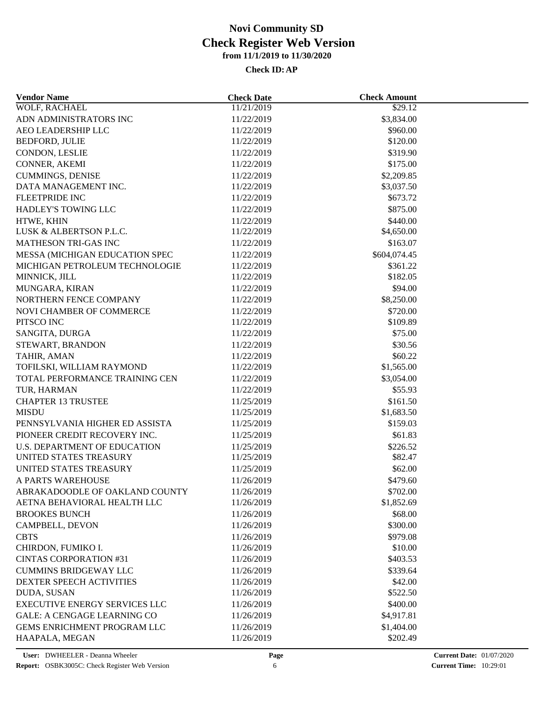| <b>Vendor Name</b>                       | <b>Check Date</b> | <b>Check Amount</b> |  |
|------------------------------------------|-------------------|---------------------|--|
| WOLF, RACHAEL                            | 11/21/2019        | \$29.12             |  |
| ADN ADMINISTRATORS INC                   | 11/22/2019        | \$3,834.00          |  |
| AEO LEADERSHIP LLC                       | 11/22/2019        | \$960.00            |  |
| BEDFORD, JULIE                           | 11/22/2019        | \$120.00            |  |
| CONDON, LESLIE                           | 11/22/2019        | \$319.90            |  |
| CONNER, AKEMI                            | 11/22/2019        | \$175.00            |  |
| <b>CUMMINGS, DENISE</b>                  | 11/22/2019        | \$2,209.85          |  |
| DATA MANAGEMENT INC.                     | 11/22/2019        | \$3,037.50          |  |
| FLEETPRIDE INC                           | 11/22/2019        | \$673.72            |  |
| HADLEY'S TOWING LLC                      | 11/22/2019        | \$875.00            |  |
| HTWE, KHIN                               | 11/22/2019        | \$440.00            |  |
| LUSK & ALBERTSON P.L.C.                  | 11/22/2019        | \$4,650.00          |  |
| MATHESON TRI-GAS INC                     | 11/22/2019        | \$163.07            |  |
| MESSA (MICHIGAN EDUCATION SPEC           | 11/22/2019        | \$604,074.45        |  |
| MICHIGAN PETROLEUM TECHNOLOGIE           | 11/22/2019        | \$361.22            |  |
| MINNICK, JILL                            | 11/22/2019        | \$182.05            |  |
| MUNGARA, KIRAN                           | 11/22/2019        | \$94.00             |  |
| NORTHERN FENCE COMPANY                   | 11/22/2019        | \$8,250.00          |  |
| NOVI CHAMBER OF COMMERCE                 | 11/22/2019        | \$720.00            |  |
| PITSCO INC                               | 11/22/2019        | \$109.89            |  |
| SANGITA, DURGA                           | 11/22/2019        | \$75.00             |  |
| STEWART, BRANDON                         | 11/22/2019        | \$30.56             |  |
|                                          |                   |                     |  |
| TAHIR, AMAN<br>TOFILSKI, WILLIAM RAYMOND | 11/22/2019        | \$60.22             |  |
|                                          | 11/22/2019        | \$1,565.00          |  |
| TOTAL PERFORMANCE TRAINING CEN           | 11/22/2019        | \$3,054.00          |  |
| TUR, HARMAN                              | 11/22/2019        | \$55.93             |  |
| <b>CHAPTER 13 TRUSTEE</b>                | 11/25/2019        | \$161.50            |  |
| <b>MISDU</b>                             | 11/25/2019        | \$1,683.50          |  |
| PENNSYLVANIA HIGHER ED ASSISTA           | 11/25/2019        | \$159.03            |  |
| PIONEER CREDIT RECOVERY INC.             | 11/25/2019        | \$61.83             |  |
| <b>U.S. DEPARTMENT OF EDUCATION</b>      | 11/25/2019        | \$226.52            |  |
| UNITED STATES TREASURY                   | 11/25/2019        | \$82.47             |  |
| UNITED STATES TREASURY                   | 11/25/2019        | \$62.00             |  |
| A PARTS WAREHOUSE                        | 11/26/2019        | \$479.60            |  |
| ABRAKADOODLE OF OAKLAND COUNTY           | 11/26/2019        | \$702.00            |  |
| AETNA BEHAVIORAL HEALTH LLC              | 11/26/2019        | \$1,852.69          |  |
| <b>BROOKES BUNCH</b>                     | 11/26/2019        | \$68.00             |  |
| CAMPBELL, DEVON                          | 11/26/2019        | \$300.00            |  |
| <b>CBTS</b>                              | 11/26/2019        | \$979.08            |  |
| CHIRDON, FUMIKO I.                       | 11/26/2019        | \$10.00             |  |
| <b>CINTAS CORPORATION #31</b>            | 11/26/2019        | \$403.53            |  |
| <b>CUMMINS BRIDGEWAY LLC</b>             | 11/26/2019        | \$339.64            |  |
| DEXTER SPEECH ACTIVITIES                 | 11/26/2019        | \$42.00             |  |
| <b>DUDA, SUSAN</b>                       | 11/26/2019        | \$522.50            |  |
| <b>EXECUTIVE ENERGY SERVICES LLC</b>     | 11/26/2019        | \$400.00            |  |
| <b>GALE: A CENGAGE LEARNING CO</b>       | 11/26/2019        | \$4,917.81          |  |
| GEMS ENRICHMENT PROGRAM LLC              | 11/26/2019        | \$1,404.00          |  |
| HAAPALA, MEGAN                           | 11/26/2019        | \$202.49            |  |
|                                          |                   |                     |  |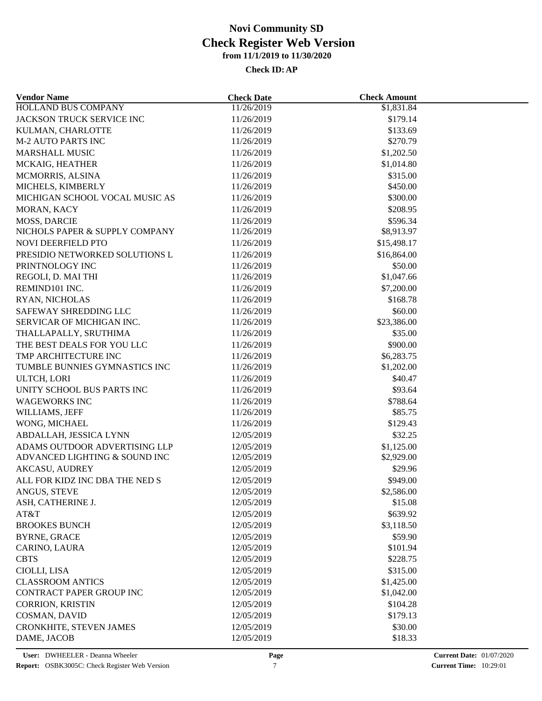| <b>Vendor Name</b>             | <b>Check Date</b> | <b>Check Amount</b> |  |
|--------------------------------|-------------------|---------------------|--|
| <b>HOLLAND BUS COMPANY</b>     | 11/26/2019        | \$1,831.84          |  |
| JACKSON TRUCK SERVICE INC      | 11/26/2019        | \$179.14            |  |
| KULMAN, CHARLOTTE              | 11/26/2019        | \$133.69            |  |
| <b>M-2 AUTO PARTS INC</b>      | 11/26/2019        | \$270.79            |  |
| <b>MARSHALL MUSIC</b>          | 11/26/2019        | \$1,202.50          |  |
| MCKAIG, HEATHER                | 11/26/2019        | \$1,014.80          |  |
| MCMORRIS, ALSINA               | 11/26/2019        | \$315.00            |  |
| MICHELS, KIMBERLY              | 11/26/2019        | \$450.00            |  |
| MICHIGAN SCHOOL VOCAL MUSIC AS | 11/26/2019        | \$300.00            |  |
| MORAN, KACY                    | 11/26/2019        | \$208.95            |  |
| <b>MOSS, DARCIE</b>            | 11/26/2019        | \$596.34            |  |
| NICHOLS PAPER & SUPPLY COMPANY | 11/26/2019        | \$8,913.97          |  |
| NOVI DEERFIELD PTO             | 11/26/2019        | \$15,498.17         |  |
| PRESIDIO NETWORKED SOLUTIONS L | 11/26/2019        | \$16,864.00         |  |
| PRINTNOLOGY INC                | 11/26/2019        | \$50.00             |  |
| REGOLI, D. MAI THI             | 11/26/2019        | \$1,047.66          |  |
| REMIND101 INC.                 | 11/26/2019        | \$7,200.00          |  |
| RYAN, NICHOLAS                 | 11/26/2019        | \$168.78            |  |
| SAFEWAY SHREDDING LLC          | 11/26/2019        | \$60.00             |  |
| SERVICAR OF MICHIGAN INC.      | 11/26/2019        | \$23,386.00         |  |
| THALLAPALLY, SRUTHIMA          | 11/26/2019        | \$35.00             |  |
| THE BEST DEALS FOR YOU LLC     | 11/26/2019        | \$900.00            |  |
| TMP ARCHITECTURE INC           | 11/26/2019        | \$6,283.75          |  |
| TUMBLE BUNNIES GYMNASTICS INC  | 11/26/2019        | \$1,202.00          |  |
| ULTCH, LORI                    | 11/26/2019        | \$40.47             |  |
| UNITY SCHOOL BUS PARTS INC     | 11/26/2019        | \$93.64             |  |
|                                |                   |                     |  |
| <b>WAGEWORKS INC</b>           | 11/26/2019        | \$788.64<br>\$85.75 |  |
| WILLIAMS, JEFF                 | 11/26/2019        |                     |  |
| WONG, MICHAEL                  | 11/26/2019        | \$129.43            |  |
| ABDALLAH, JESSICA LYNN         | 12/05/2019        | \$32.25             |  |
| ADAMS OUTDOOR ADVERTISING LLP  | 12/05/2019        | \$1,125.00          |  |
| ADVANCED LIGHTING & SOUND INC  | 12/05/2019        | \$2,929.00          |  |
| <b>AKCASU, AUDREY</b>          | 12/05/2019        | \$29.96             |  |
| ALL FOR KIDZ INC DBA THE NED S | 12/05/2019        | \$949.00            |  |
| ANGUS, STEVE                   | 12/05/2019        | \$2,586.00          |  |
| ASH, CATHERINE J.              | 12/05/2019        | \$15.08             |  |
| AT&T                           | 12/05/2019        | \$639.92            |  |
| <b>BROOKES BUNCH</b>           | 12/05/2019        | \$3,118.50          |  |
| <b>BYRNE, GRACE</b>            | 12/05/2019        | \$59.90             |  |
| CARINO, LAURA                  | 12/05/2019        | \$101.94            |  |
| <b>CBTS</b>                    | 12/05/2019        | \$228.75            |  |
| CIOLLI, LISA                   | 12/05/2019        | \$315.00            |  |
| <b>CLASSROOM ANTICS</b>        | 12/05/2019        | \$1,425.00          |  |
| CONTRACT PAPER GROUP INC       | 12/05/2019        | \$1,042.00          |  |
| <b>CORRION, KRISTIN</b>        | 12/05/2019        | \$104.28            |  |
| COSMAN, DAVID                  | 12/05/2019        | \$179.13            |  |
| CRONKHITE, STEVEN JAMES        | 12/05/2019        | \$30.00             |  |
| DAME, JACOB                    | 12/05/2019        | \$18.33             |  |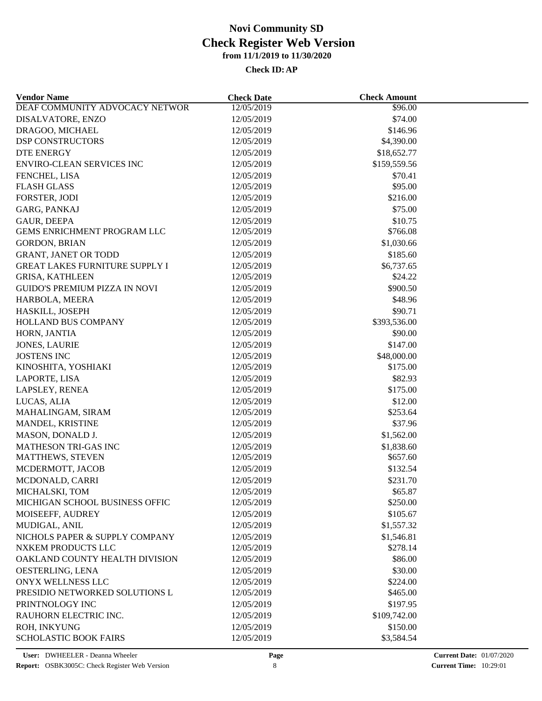| <b>Vendor Name</b>                    | <b>Check Date</b> | <b>Check Amount</b> |  |
|---------------------------------------|-------------------|---------------------|--|
| DEAF COMMUNITY ADVOCACY NETWOR        | 12/05/2019        | \$96.00             |  |
| DISALVATORE, ENZO                     | 12/05/2019        | \$74.00             |  |
| DRAGOO, MICHAEL                       | 12/05/2019        | \$146.96            |  |
| <b>DSP CONSTRUCTORS</b>               | 12/05/2019        | \$4,390.00          |  |
| <b>DTE ENERGY</b>                     | 12/05/2019        | \$18,652.77         |  |
| <b>ENVIRO-CLEAN SERVICES INC</b>      | 12/05/2019        | \$159,559.56        |  |
| FENCHEL, LISA                         | 12/05/2019        | \$70.41             |  |
| <b>FLASH GLASS</b>                    | 12/05/2019        | \$95.00             |  |
| FORSTER, JODI                         | 12/05/2019        | \$216.00            |  |
| GARG, PANKAJ                          | 12/05/2019        | \$75.00             |  |
| <b>GAUR, DEEPA</b>                    | 12/05/2019        | \$10.75             |  |
| <b>GEMS ENRICHMENT PROGRAM LLC</b>    | 12/05/2019        | \$766.08            |  |
| <b>GORDON, BRIAN</b>                  | 12/05/2019        | \$1,030.66          |  |
| GRANT, JANET OR TODD                  | 12/05/2019        | \$185.60            |  |
| <b>GREAT LAKES FURNITURE SUPPLY I</b> | 12/05/2019        | \$6,737.65          |  |
| <b>GRISA, KATHLEEN</b>                | 12/05/2019        | \$24.22             |  |
| <b>GUIDO'S PREMIUM PIZZA IN NOVI</b>  | 12/05/2019        | \$900.50            |  |
| HARBOLA, MEERA                        | 12/05/2019        | \$48.96             |  |
| HASKILL, JOSEPH                       | 12/05/2019        | \$90.71             |  |
| <b>HOLLAND BUS COMPANY</b>            | 12/05/2019        | \$393,536.00        |  |
|                                       |                   | \$90.00             |  |
| HORN, JANTIA                          | 12/05/2019        |                     |  |
| <b>JONES, LAURIE</b>                  | 12/05/2019        | \$147.00            |  |
| <b>JOSTENS INC</b>                    | 12/05/2019        | \$48,000.00         |  |
| KINOSHITA, YOSHIAKI                   | 12/05/2019        | \$175.00            |  |
| LAPORTE, LISA                         | 12/05/2019        | \$82.93             |  |
| LAPSLEY, RENEA                        | 12/05/2019        | \$175.00            |  |
| LUCAS, ALIA                           | 12/05/2019        | \$12.00             |  |
| MAHALINGAM, SIRAM                     | 12/05/2019        | \$253.64            |  |
| MANDEL, KRISTINE                      | 12/05/2019        | \$37.96             |  |
| MASON, DONALD J.                      | 12/05/2019        | \$1,562.00          |  |
| MATHESON TRI-GAS INC                  | 12/05/2019        | \$1,838.60          |  |
| MATTHEWS, STEVEN                      | 12/05/2019        | \$657.60            |  |
| MCDERMOTT, JACOB                      | 12/05/2019        | \$132.54            |  |
| MCDONALD, CARRI                       | 12/05/2019        | \$231.70            |  |
| MICHALSKI, TOM                        | 12/05/2019        | \$65.87             |  |
| MICHIGAN SCHOOL BUSINESS OFFIC        | 12/05/2019        | \$250.00            |  |
| MOISEEFF, AUDREY                      | 12/05/2019        | \$105.67            |  |
| MUDIGAL, ANIL                         | 12/05/2019        | \$1,557.32          |  |
| NICHOLS PAPER & SUPPLY COMPANY        | 12/05/2019        | \$1,546.81          |  |
| NXKEM PRODUCTS LLC                    | 12/05/2019        | \$278.14            |  |
| OAKLAND COUNTY HEALTH DIVISION        | 12/05/2019        | \$86.00             |  |
| OESTERLING, LENA                      | 12/05/2019        | \$30.00             |  |
| ONYX WELLNESS LLC                     | 12/05/2019        | \$224.00            |  |
| PRESIDIO NETWORKED SOLUTIONS L        | 12/05/2019        | \$465.00            |  |
| PRINTNOLOGY INC                       | 12/05/2019        | \$197.95            |  |
| RAUHORN ELECTRIC INC.                 | 12/05/2019        | \$109,742.00        |  |
| ROH, INKYUNG                          | 12/05/2019        | \$150.00            |  |
| <b>SCHOLASTIC BOOK FAIRS</b>          | 12/05/2019        | \$3,584.54          |  |
|                                       |                   |                     |  |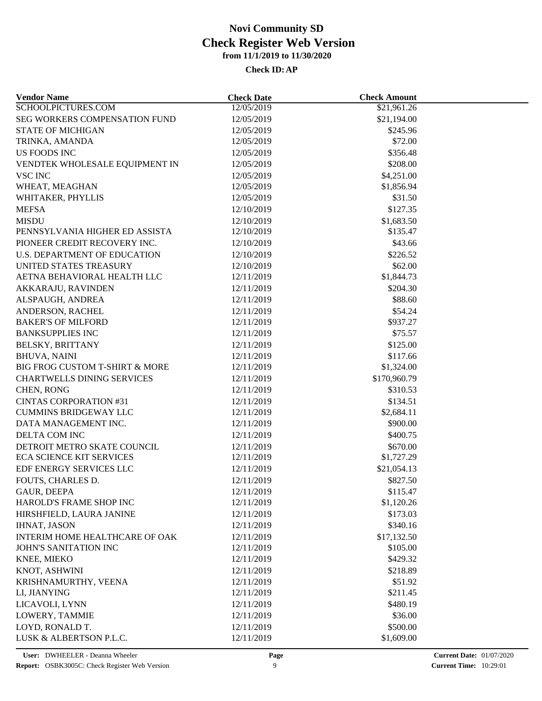| <b>Vendor Name</b>                  | <b>Check Date</b> | <b>Check Amount</b>     |  |
|-------------------------------------|-------------------|-------------------------|--|
| SCHOOLPICTURES.COM                  | 12/05/2019        | \$21,961.26             |  |
| SEG WORKERS COMPENSATION FUND       | 12/05/2019        | \$21,194.00             |  |
| <b>STATE OF MICHIGAN</b>            | 12/05/2019        | \$245.96                |  |
| TRINKA, AMANDA                      | 12/05/2019        | \$72.00                 |  |
| US FOODS INC                        | 12/05/2019        | \$356.48                |  |
| VENDTEK WHOLESALE EQUIPMENT IN      | 12/05/2019        | \$208.00                |  |
| <b>VSC INC</b>                      | 12/05/2019        | \$4,251.00              |  |
| WHEAT, MEAGHAN                      | 12/05/2019        | \$1,856.94              |  |
| WHITAKER, PHYLLIS                   | 12/05/2019        | \$31.50                 |  |
| <b>MEFSA</b>                        | 12/10/2019        | \$127.35                |  |
| <b>MISDU</b>                        | 12/10/2019        | \$1,683.50              |  |
| PENNSYLVANIA HIGHER ED ASSISTA      | 12/10/2019        | \$135.47                |  |
| PIONEER CREDIT RECOVERY INC.        | 12/10/2019        | \$43.66                 |  |
| <b>U.S. DEPARTMENT OF EDUCATION</b> | 12/10/2019        | \$226.52                |  |
| UNITED STATES TREASURY              | 12/10/2019        | \$62.00                 |  |
| AETNA BEHAVIORAL HEALTH LLC         | 12/11/2019        | \$1,844.73              |  |
| AKKARAJU, RAVINDEN                  | 12/11/2019        | \$204.30                |  |
| ALSPAUGH, ANDREA                    | 12/11/2019        | \$88.60                 |  |
| ANDERSON, RACHEL                    | 12/11/2019        | \$54.24                 |  |
| <b>BAKER'S OF MILFORD</b>           | 12/11/2019        | \$937.27                |  |
| <b>BANKSUPPLIES INC</b>             | 12/11/2019        | \$75.57                 |  |
| <b>BELSKY, BRITTANY</b>             | 12/11/2019        | \$125.00                |  |
| <b>BHUVA, NAINI</b>                 | 12/11/2019        | \$117.66                |  |
| BIG FROG CUSTOM T-SHIRT & MORE      | 12/11/2019        | \$1,324.00              |  |
| <b>CHARTWELLS DINING SERVICES</b>   | 12/11/2019        | \$170,960.79            |  |
| CHEN, RONG                          | 12/11/2019        | \$310.53                |  |
| <b>CINTAS CORPORATION #31</b>       | 12/11/2019        | \$134.51                |  |
| <b>CUMMINS BRIDGEWAY LLC</b>        | 12/11/2019        | \$2,684.11              |  |
| DATA MANAGEMENT INC.                | 12/11/2019        | \$900.00                |  |
| DELTA COM INC                       | 12/11/2019        | \$400.75                |  |
| DETROIT METRO SKATE COUNCIL         | 12/11/2019        | \$670.00                |  |
| <b>ECA SCIENCE KIT SERVICES</b>     | 12/11/2019        | \$1,727.29              |  |
| EDF ENERGY SERVICES LLC             | 12/11/2019        | \$21,054.13             |  |
| FOUTS, CHARLES D.                   | 12/11/2019        | \$827.50                |  |
| GAUR, DEEPA                         | 12/11/2019        | \$115.47                |  |
| HAROLD'S FRAME SHOP INC             | 12/11/2019        | \$1,120.26              |  |
| HIRSHFIELD, LAURA JANINE            | 12/11/2019        | \$173.03                |  |
| <b>IHNAT, JASON</b>                 | 12/11/2019        | \$340.16                |  |
| INTERIM HOME HEALTHCARE OF OAK      | 12/11/2019        |                         |  |
| <b>JOHN'S SANITATION INC</b>        | 12/11/2019        | \$17,132.50<br>\$105.00 |  |
| KNEE, MIEKO                         | 12/11/2019        | \$429.32                |  |
|                                     |                   |                         |  |
| KNOT, ASHWINI                       | 12/11/2019        | \$218.89                |  |
| KRISHNAMURTHY, VEENA                | 12/11/2019        | \$51.92                 |  |
| LI, JIANYING                        | 12/11/2019        | \$211.45                |  |
| LICAVOLI, LYNN                      | 12/11/2019        | \$480.19                |  |
| LOWERY, TAMMIE                      | 12/11/2019        | \$36.00                 |  |
| LOYD, RONALD T.                     | 12/11/2019        | \$500.00                |  |
| LUSK & ALBERTSON P.L.C.             | 12/11/2019        | \$1,609.00              |  |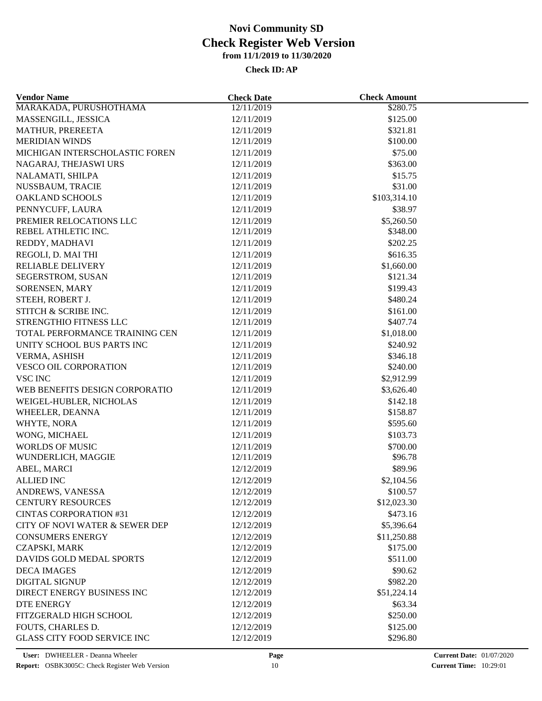| <b>Vendor Name</b>                 | <b>Check Date</b> | <b>Check Amount</b> |  |
|------------------------------------|-------------------|---------------------|--|
| MARAKADA, PURUSHOTHAMA             | 12/11/2019        | \$280.75            |  |
| MASSENGILL, JESSICA                | 12/11/2019        | \$125.00            |  |
| MATHUR, PREREETA                   | 12/11/2019        | \$321.81            |  |
| <b>MERIDIAN WINDS</b>              | 12/11/2019        | \$100.00            |  |
| MICHIGAN INTERSCHOLASTIC FOREN     | 12/11/2019        | \$75.00             |  |
| NAGARAJ, THEJASWI URS              | 12/11/2019        | \$363.00            |  |
| NALAMATI, SHILPA                   | 12/11/2019        | \$15.75             |  |
| NUSSBAUM, TRACIE                   | 12/11/2019        | \$31.00             |  |
| <b>OAKLAND SCHOOLS</b>             | 12/11/2019        | \$103,314.10        |  |
| PENNYCUFF, LAURA                   | 12/11/2019        | \$38.97             |  |
| PREMIER RELOCATIONS LLC            | 12/11/2019        | \$5,260.50          |  |
| REBEL ATHLETIC INC.                | 12/11/2019        | \$348.00            |  |
| REDDY, MADHAVI                     | 12/11/2019        | \$202.25            |  |
| REGOLI, D. MAI THI                 | 12/11/2019        | \$616.35            |  |
| <b>RELIABLE DELIVERY</b>           | 12/11/2019        | \$1,660.00          |  |
| SEGERSTROM, SUSAN                  | 12/11/2019        | \$121.34            |  |
| SORENSEN, MARY                     | 12/11/2019        | \$199.43            |  |
| STEEH, ROBERT J.                   | 12/11/2019        | \$480.24            |  |
| STITCH & SCRIBE INC.               | 12/11/2019        | \$161.00            |  |
| STRENGTHIO FITNESS LLC             | 12/11/2019        | \$407.74            |  |
| TOTAL PERFORMANCE TRAINING CEN     | 12/11/2019        | \$1,018.00          |  |
| UNITY SCHOOL BUS PARTS INC         | 12/11/2019        | \$240.92            |  |
| VERMA, ASHISH                      | 12/11/2019        | \$346.18            |  |
| VESCO OIL CORPORATION              | 12/11/2019        | \$240.00            |  |
| VSC INC                            | 12/11/2019        | \$2,912.99          |  |
| WEB BENEFITS DESIGN CORPORATIO     | 12/11/2019        | \$3,626.40          |  |
| WEIGEL-HUBLER, NICHOLAS            | 12/11/2019        | \$142.18            |  |
| WHEELER, DEANNA                    | 12/11/2019        | \$158.87            |  |
| WHYTE, NORA                        | 12/11/2019        | \$595.60            |  |
| WONG, MICHAEL                      | 12/11/2019        | \$103.73            |  |
| <b>WORLDS OF MUSIC</b>             | 12/11/2019        | \$700.00            |  |
| WUNDERLICH, MAGGIE                 | 12/11/2019        | \$96.78             |  |
| ABEL, MARCI                        | 12/12/2019        | \$89.96             |  |
| <b>ALLIED INC</b>                  | 12/12/2019        | \$2,104.56          |  |
| ANDREWS, VANESSA                   | 12/12/2019        | \$100.57            |  |
| <b>CENTURY RESOURCES</b>           | 12/12/2019        | \$12,023.30         |  |
| <b>CINTAS CORPORATION #31</b>      | 12/12/2019        | \$473.16            |  |
| CITY OF NOVI WATER & SEWER DEP     | 12/12/2019        | \$5,396.64          |  |
| <b>CONSUMERS ENERGY</b>            | 12/12/2019        | \$11,250.88         |  |
| <b>CZAPSKI, MARK</b>               | 12/12/2019        | \$175.00            |  |
| DAVIDS GOLD MEDAL SPORTS           | 12/12/2019        | \$511.00            |  |
| <b>DECA IMAGES</b>                 |                   | \$90.62             |  |
|                                    | 12/12/2019        |                     |  |
| <b>DIGITAL SIGNUP</b>              | 12/12/2019        | \$982.20            |  |
| DIRECT ENERGY BUSINESS INC         | 12/12/2019        | \$51,224.14         |  |
| DTE ENERGY                         | 12/12/2019        | \$63.34             |  |
| FITZGERALD HIGH SCHOOL             | 12/12/2019        | \$250.00            |  |
| FOUTS, CHARLES D.                  | 12/12/2019        | \$125.00            |  |
| <b>GLASS CITY FOOD SERVICE INC</b> | 12/12/2019        | \$296.80            |  |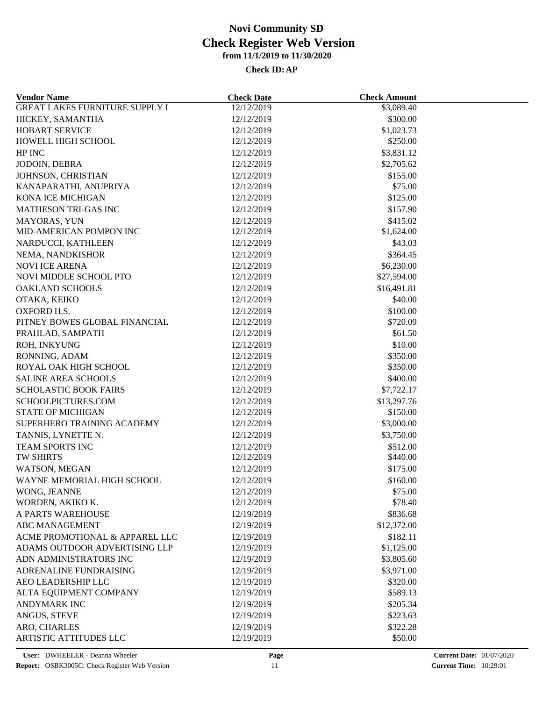| <b>Vendor Name</b>                     | <b>Check Date</b>        | <b>Check Amount</b>  |  |
|----------------------------------------|--------------------------|----------------------|--|
| <b>GREAT LAKES FURNITURE SUPPLY I</b>  | 12/12/2019               | \$3,089.40           |  |
| HICKEY, SAMANTHA                       | 12/12/2019               | \$300.00             |  |
| HOBART SERVICE                         | 12/12/2019               | \$1,023.73           |  |
| HOWELL HIGH SCHOOL                     | 12/12/2019               | \$250.00             |  |
| HP INC                                 | 12/12/2019               | \$3,831.12           |  |
| JODOIN, DEBRA                          | 12/12/2019               | \$2,705.62           |  |
| JOHNSON, CHRISTIAN                     | 12/12/2019               | \$155.00             |  |
| KANAPARATHI, ANUPRIYA                  | 12/12/2019               | \$75.00              |  |
| <b>KONA ICE MICHIGAN</b>               | 12/12/2019               | \$125.00             |  |
| <b>MATHESON TRI-GAS INC</b>            | 12/12/2019               | \$157.90             |  |
| MAYORAS, YUN                           | 12/12/2019               | \$415.02             |  |
| MID-AMERICAN POMPON INC                | 12/12/2019               | \$1,624.00           |  |
| NARDUCCI, KATHLEEN                     | 12/12/2019               | \$43.03              |  |
| NEMA, NANDKISHOR                       | 12/12/2019               | \$364.45             |  |
| <b>NOVI ICE ARENA</b>                  | 12/12/2019               | \$6,230.00           |  |
| NOVI MIDDLE SCHOOL PTO                 | 12/12/2019               | \$27,594.00          |  |
| <b>OAKLAND SCHOOLS</b>                 | 12/12/2019               | \$16,491.81          |  |
| OTAKA, KEIKO                           | 12/12/2019               | \$40.00              |  |
| OXFORD H.S.                            | 12/12/2019               | \$100.00             |  |
| PITNEY BOWES GLOBAL FINANCIAL          | 12/12/2019               | \$720.09             |  |
| PRAHLAD, SAMPATH                       | 12/12/2019               | \$61.50              |  |
| ROH, INKYUNG                           | 12/12/2019               | \$10.00              |  |
|                                        |                          |                      |  |
| RONNING, ADAM<br>ROYAL OAK HIGH SCHOOL | 12/12/2019<br>12/12/2019 | \$350.00<br>\$350.00 |  |
|                                        |                          |                      |  |
| <b>SALINE AREA SCHOOLS</b>             | 12/12/2019               | \$400.00             |  |
| <b>SCHOLASTIC BOOK FAIRS</b>           | 12/12/2019               | \$7,722.17           |  |
| SCHOOLPICTURES.COM                     | 12/12/2019               | \$13,297.76          |  |
| <b>STATE OF MICHIGAN</b>               | 12/12/2019               | \$150.00             |  |
| SUPERHERO TRAINING ACADEMY             | 12/12/2019               | \$3,000.00           |  |
| TANNIS, LYNETTE N.                     | 12/12/2019               | \$3,750.00           |  |
| TEAM SPORTS INC                        | 12/12/2019               | \$512.00             |  |
| TW SHIRTS                              | 12/12/2019               | \$440.00             |  |
| WATSON, MEGAN                          | 12/12/2019               | \$175.00             |  |
| WAYNE MEMORIAL HIGH SCHOOL             | 12/12/2019               | \$160.00             |  |
| WONG, JEANNE                           | 12/12/2019               | \$75.00              |  |
| WORDEN, AKIKO K.                       | 12/12/2019               | \$78.40              |  |
| A PARTS WAREHOUSE                      | 12/19/2019               | \$836.68             |  |
| ABC MANAGEMENT                         | 12/19/2019               | \$12,372.00          |  |
| ACME PROMOTIONAL & APPAREL LLC         | 12/19/2019               | \$182.11             |  |
| ADAMS OUTDOOR ADVERTISING LLP          | 12/19/2019               | \$1,125.00           |  |
| ADN ADMINISTRATORS INC                 | 12/19/2019               | \$3,805.60           |  |
| ADRENALINE FUNDRAISING                 | 12/19/2019               | \$3,971.00           |  |
| AEO LEADERSHIP LLC                     | 12/19/2019               | \$320.00             |  |
| ALTA EQUIPMENT COMPANY                 | 12/19/2019               | \$589.13             |  |
| ANDYMARK INC                           | 12/19/2019               | \$205.34             |  |
| ANGUS, STEVE                           | 12/19/2019               | \$223.63             |  |
| ARO, CHARLES                           | 12/19/2019               | \$322.28             |  |
| <b>ARTISTIC ATTITUDES LLC</b>          | 12/19/2019               | \$50.00              |  |
|                                        |                          |                      |  |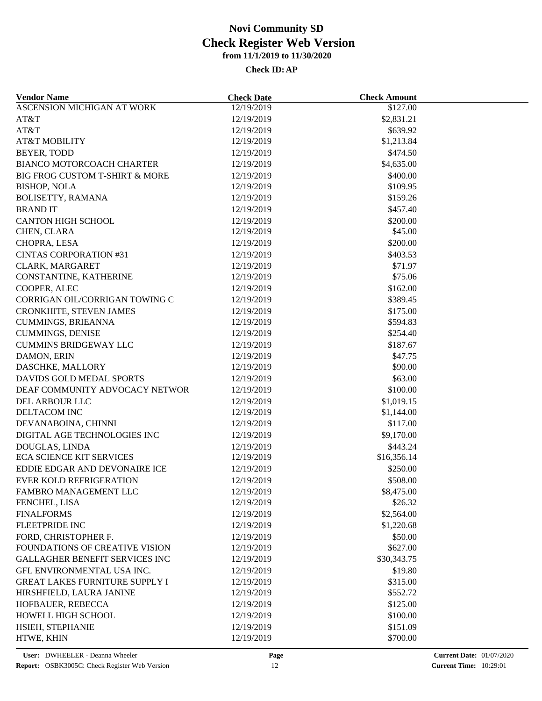| <b>Vendor Name</b>                    | <b>Check Date</b> | <b>Check Amount</b> |  |
|---------------------------------------|-------------------|---------------------|--|
| ASCENSION MICHIGAN AT WORK            | 12/19/2019        | \$127.00            |  |
| AT&T                                  | 12/19/2019        | \$2,831.21          |  |
| AT&T                                  | 12/19/2019        | \$639.92            |  |
| <b>AT&amp;T MOBILITY</b>              | 12/19/2019        | \$1,213.84          |  |
| BEYER, TODD                           | 12/19/2019        | \$474.50            |  |
| <b>BIANCO MOTORCOACH CHARTER</b>      | 12/19/2019        | \$4,635.00          |  |
| BIG FROG CUSTOM T-SHIRT & MORE        | 12/19/2019        | \$400.00            |  |
| <b>BISHOP, NOLA</b>                   | 12/19/2019        | \$109.95            |  |
| BOLISETTY, RAMANA                     | 12/19/2019        | \$159.26            |  |
| <b>BRANDIT</b>                        | 12/19/2019        | \$457.40            |  |
| <b>CANTON HIGH SCHOOL</b>             | 12/19/2019        | \$200.00            |  |
| CHEN, CLARA                           | 12/19/2019        | \$45.00             |  |
| CHOPRA, LESA                          | 12/19/2019        | \$200.00            |  |
| <b>CINTAS CORPORATION #31</b>         | 12/19/2019        | \$403.53            |  |
| CLARK, MARGARET                       | 12/19/2019        | \$71.97             |  |
| CONSTANTINE, KATHERINE                | 12/19/2019        | \$75.06             |  |
| COOPER, ALEC                          | 12/19/2019        | \$162.00            |  |
| CORRIGAN OIL/CORRIGAN TOWING C        | 12/19/2019        | \$389.45            |  |
| <b>CRONKHITE, STEVEN JAMES</b>        | 12/19/2019        | \$175.00            |  |
| <b>CUMMINGS, BRIEANNA</b>             | 12/19/2019        | \$594.83            |  |
| <b>CUMMINGS, DENISE</b>               | 12/19/2019        | \$254.40            |  |
| <b>CUMMINS BRIDGEWAY LLC</b>          | 12/19/2019        | \$187.67            |  |
| DAMON, ERIN                           | 12/19/2019        | \$47.75             |  |
| DASCHKE, MALLORY                      | 12/19/2019        | \$90.00             |  |
| DAVIDS GOLD MEDAL SPORTS              | 12/19/2019        | \$63.00             |  |
| DEAF COMMUNITY ADVOCACY NETWOR        | 12/19/2019        | \$100.00            |  |
|                                       |                   |                     |  |
| DEL ARBOUR LLC<br>DELTACOM INC        | 12/19/2019        | \$1,019.15          |  |
|                                       | 12/19/2019        | \$1,144.00          |  |
| DEVANABOINA, CHINNI                   | 12/19/2019        | \$117.00            |  |
| DIGITAL AGE TECHNOLOGIES INC          | 12/19/2019        | \$9,170.00          |  |
| DOUGLAS, LINDA                        | 12/19/2019        | \$443.24            |  |
| <b>ECA SCIENCE KIT SERVICES</b>       | 12/19/2019        | \$16,356.14         |  |
| EDDIE EDGAR AND DEVONAIRE ICE         | 12/19/2019        | \$250.00            |  |
| <b>EVER KOLD REFRIGERATION</b>        | 12/19/2019        | \$508.00            |  |
| FAMBRO MANAGEMENT LLC                 | 12/19/2019        | \$8,475.00          |  |
| FENCHEL, LISA                         | 12/19/2019        | \$26.32             |  |
| <b>FINALFORMS</b>                     | 12/19/2019        | \$2,564.00          |  |
| <b>FLEETPRIDE INC</b>                 | 12/19/2019        | \$1,220.68          |  |
| FORD, CHRISTOPHER F.                  | 12/19/2019        | \$50.00             |  |
| FOUNDATIONS OF CREATIVE VISION        | 12/19/2019        | \$627.00            |  |
| <b>GALLAGHER BENEFIT SERVICES INC</b> | 12/19/2019        | \$30,343.75         |  |
| GFL ENVIRONMENTAL USA INC.            | 12/19/2019        | \$19.80             |  |
| <b>GREAT LAKES FURNITURE SUPPLY I</b> | 12/19/2019        | \$315.00            |  |
| HIRSHFIELD, LAURA JANINE              | 12/19/2019        | \$552.72            |  |
| HOFBAUER, REBECCA                     | 12/19/2019        | \$125.00            |  |
| HOWELL HIGH SCHOOL                    | 12/19/2019        | \$100.00            |  |
| HSIEH, STEPHANIE                      | 12/19/2019        | \$151.09            |  |
| HTWE, KHIN                            | 12/19/2019        | \$700.00            |  |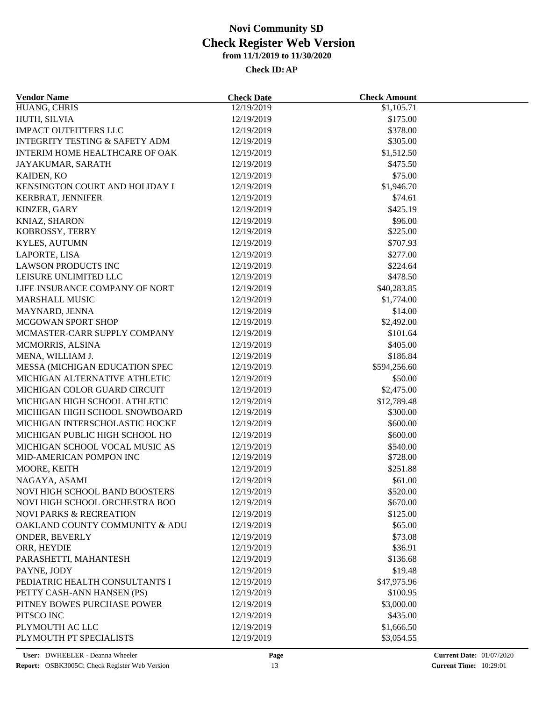| <b>Vendor Name</b>                        | <b>Check Date</b>        | <b>Check Amount</b>     |  |
|-------------------------------------------|--------------------------|-------------------------|--|
| HUANG, CHRIS                              | 12/19/2019               | \$1,105.71              |  |
| HUTH, SILVIA                              | 12/19/2019               | \$175.00                |  |
| <b>IMPACT OUTFITTERS LLC</b>              | 12/19/2019               | \$378.00                |  |
| <b>INTEGRITY TESTING &amp; SAFETY ADM</b> | 12/19/2019               | \$305.00                |  |
| <b>INTERIM HOME HEALTHCARE OF OAK</b>     | 12/19/2019               | \$1,512.50              |  |
| JAYAKUMAR, SARATH                         | 12/19/2019               | \$475.50                |  |
| KAIDEN, KO                                | 12/19/2019               | \$75.00                 |  |
| KENSINGTON COURT AND HOLIDAY I            | 12/19/2019               | \$1,946.70              |  |
| KERBRAT, JENNIFER                         | 12/19/2019               | \$74.61                 |  |
| KINZER, GARY                              | 12/19/2019               | \$425.19                |  |
| KNIAZ, SHARON                             | 12/19/2019               | \$96.00                 |  |
| KOBROSSY, TERRY                           | 12/19/2019               | \$225.00                |  |
| KYLES, AUTUMN                             | 12/19/2019               | \$707.93                |  |
| LAPORTE, LISA                             | 12/19/2019               | \$277.00                |  |
| <b>LAWSON PRODUCTS INC</b>                | 12/19/2019               | \$224.64                |  |
| LEISURE UNLIMITED LLC                     | 12/19/2019               | \$478.50                |  |
| LIFE INSURANCE COMPANY OF NORT            | 12/19/2019               | \$40,283.85             |  |
| <b>MARSHALL MUSIC</b>                     | 12/19/2019               | \$1,774.00              |  |
| MAYNARD, JENNA                            | 12/19/2019               | \$14.00                 |  |
| MCGOWAN SPORT SHOP                        | 12/19/2019               | \$2,492.00              |  |
| MCMASTER-CARR SUPPLY COMPANY              | 12/19/2019               | \$101.64                |  |
| MCMORRIS, ALSINA                          | 12/19/2019               | \$405.00                |  |
| MENA, WILLIAM J.                          | 12/19/2019               | \$186.84                |  |
| MESSA (MICHIGAN EDUCATION SPEC            | 12/19/2019               | \$594,256.60            |  |
| MICHIGAN ALTERNATIVE ATHLETIC             | 12/19/2019               | \$50.00                 |  |
| MICHIGAN COLOR GUARD CIRCUIT              | 12/19/2019               | \$2,475.00              |  |
| MICHIGAN HIGH SCHOOL ATHLETIC             |                          |                         |  |
| MICHIGAN HIGH SCHOOL SNOWBOARD            | 12/19/2019<br>12/19/2019 | \$12,789.48<br>\$300.00 |  |
|                                           |                          | \$600.00                |  |
| MICHIGAN INTERSCHOLASTIC HOCKE            | 12/19/2019               |                         |  |
| MICHIGAN PUBLIC HIGH SCHOOL HO            | 12/19/2019               | \$600.00                |  |
| MICHIGAN SCHOOL VOCAL MUSIC AS            | 12/19/2019               | \$540.00                |  |
| MID-AMERICAN POMPON INC                   | 12/19/2019               | \$728.00                |  |
| MOORE, KEITH                              | 12/19/2019               | \$251.88                |  |
| NAGAYA, ASAMI                             | 12/19/2019               | \$61.00                 |  |
| NOVI HIGH SCHOOL BAND BOOSTERS            | 12/19/2019               | \$520.00                |  |
| NOVI HIGH SCHOOL ORCHESTRA BOO            | 12/19/2019               | \$670.00                |  |
| <b>NOVI PARKS &amp; RECREATION</b>        | 12/19/2019               | \$125.00                |  |
| OAKLAND COUNTY COMMUNITY & ADU            | 12/19/2019               | \$65.00                 |  |
| ONDER, BEVERLY                            | 12/19/2019               | \$73.08                 |  |
| ORR, HEYDIE                               | 12/19/2019               | \$36.91                 |  |
| PARASHETTI, MAHANTESH                     | 12/19/2019               | \$136.68                |  |
| PAYNE, JODY                               | 12/19/2019               | \$19.48                 |  |
| PEDIATRIC HEALTH CONSULTANTS I            | 12/19/2019               | \$47,975.96             |  |
| PETTY CASH-ANN HANSEN (PS)                | 12/19/2019               | \$100.95                |  |
| PITNEY BOWES PURCHASE POWER               | 12/19/2019               | \$3,000.00              |  |
| PITSCO INC                                | 12/19/2019               | \$435.00                |  |
| PLYMOUTH AC LLC                           | 12/19/2019               | \$1,666.50              |  |
| PLYMOUTH PT SPECIALISTS                   | 12/19/2019               | \$3,054.55              |  |
|                                           |                          |                         |  |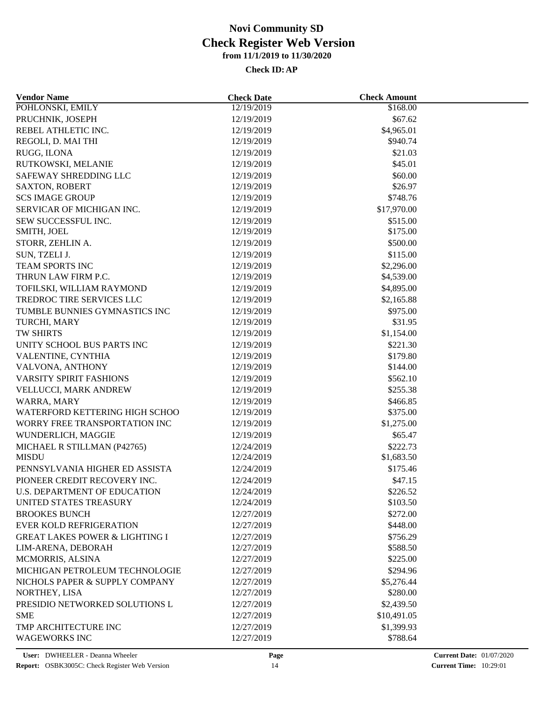| POHLONSKI, EMILY<br>12/19/2019<br>\$168.00                                    |  |
|-------------------------------------------------------------------------------|--|
|                                                                               |  |
| PRUCHNIK, JOSEPH<br>\$67.62<br>12/19/2019                                     |  |
| REBEL ATHLETIC INC.<br>12/19/2019<br>\$4,965.01                               |  |
| REGOLI, D. MAI THI<br>12/19/2019<br>\$940.74                                  |  |
| \$21.03<br>RUGG, ILONA<br>12/19/2019                                          |  |
| \$45.01<br>RUTKOWSKI, MELANIE<br>12/19/2019                                   |  |
| SAFEWAY SHREDDING LLC<br>12/19/2019<br>\$60.00                                |  |
| \$26.97<br><b>SAXTON, ROBERT</b><br>12/19/2019                                |  |
| \$748.76<br><b>SCS IMAGE GROUP</b><br>12/19/2019                              |  |
| SERVICAR OF MICHIGAN INC.<br>\$17,970.00<br>12/19/2019                        |  |
| SEW SUCCESSFUL INC.<br>12/19/2019<br>\$515.00                                 |  |
| \$175.00<br>SMITH, JOEL<br>12/19/2019                                         |  |
| \$500.00<br>STORR, ZEHLIN A.<br>12/19/2019                                    |  |
| \$115.00<br>SUN, TZELI J.<br>12/19/2019                                       |  |
| <b>TEAM SPORTS INC</b><br>12/19/2019<br>\$2,296.00                            |  |
| THRUN LAW FIRM P.C.<br>12/19/2019<br>\$4,539.00                               |  |
| TOFILSKI, WILLIAM RAYMOND<br>12/19/2019<br>\$4,895.00                         |  |
| TREDROC TIRE SERVICES LLC<br>12/19/2019<br>\$2,165.88                         |  |
| TUMBLE BUNNIES GYMNASTICS INC<br>12/19/2019<br>\$975.00                       |  |
| \$31.95<br>TURCHI, MARY<br>12/19/2019                                         |  |
| TW SHIRTS<br>12/19/2019<br>\$1,154.00                                         |  |
| UNITY SCHOOL BUS PARTS INC<br>12/19/2019<br>\$221.30                          |  |
| VALENTINE, CYNTHIA<br>12/19/2019<br>\$179.80                                  |  |
| VALVONA, ANTHONY<br>12/19/2019<br>\$144.00                                    |  |
| VARSITY SPIRIT FASHIONS<br>\$562.10<br>12/19/2019                             |  |
| VELLUCCI, MARK ANDREW<br>\$255.38<br>12/19/2019                               |  |
|                                                                               |  |
| WARRA, MARY<br>12/19/2019<br>\$466.85<br>\$375.00                             |  |
| WATERFORD KETTERING HIGH SCHOO<br>12/19/2019<br>WORRY FREE TRANSPORTATION INC |  |
| 12/19/2019<br>\$1,275.00                                                      |  |
| WUNDERLICH, MAGGIE<br>12/19/2019<br>\$65.47                                   |  |
| MICHAEL R STILLMAN (P42765)<br>12/24/2019<br>\$222.73<br><b>MISDU</b>         |  |
| 12/24/2019<br>\$1,683.50                                                      |  |
| PENNSYLVANIA HIGHER ED ASSISTA<br>\$175.46<br>12/24/2019                      |  |
| PIONEER CREDIT RECOVERY INC.<br>12/24/2019<br>\$47.15                         |  |
| <b>U.S. DEPARTMENT OF EDUCATION</b><br>12/24/2019<br>\$226.52                 |  |
| UNITED STATES TREASURY<br>12/24/2019<br>\$103.50                              |  |
| \$272.00<br><b>BROOKES BUNCH</b><br>12/27/2019                                |  |
| <b>EVER KOLD REFRIGERATION</b><br>12/27/2019<br>\$448.00                      |  |
| <b>GREAT LAKES POWER &amp; LIGHTING I</b><br>12/27/2019<br>\$756.29           |  |
| LIM-ARENA, DEBORAH<br>12/27/2019<br>\$588.50                                  |  |
| MCMORRIS, ALSINA<br>12/27/2019<br>\$225.00                                    |  |
| MICHIGAN PETROLEUM TECHNOLOGIE<br>12/27/2019<br>\$294.96                      |  |
| NICHOLS PAPER & SUPPLY COMPANY<br>12/27/2019<br>\$5,276.44                    |  |
| NORTHEY, LISA<br>12/27/2019<br>\$280.00                                       |  |
| PRESIDIO NETWORKED SOLUTIONS L<br>12/27/2019<br>\$2,439.50                    |  |
| <b>SME</b><br>12/27/2019<br>\$10,491.05                                       |  |
| TMP ARCHITECTURE INC<br>12/27/2019<br>\$1,399.93                              |  |
| <b>WAGEWORKS INC</b><br>12/27/2019<br>\$788.64                                |  |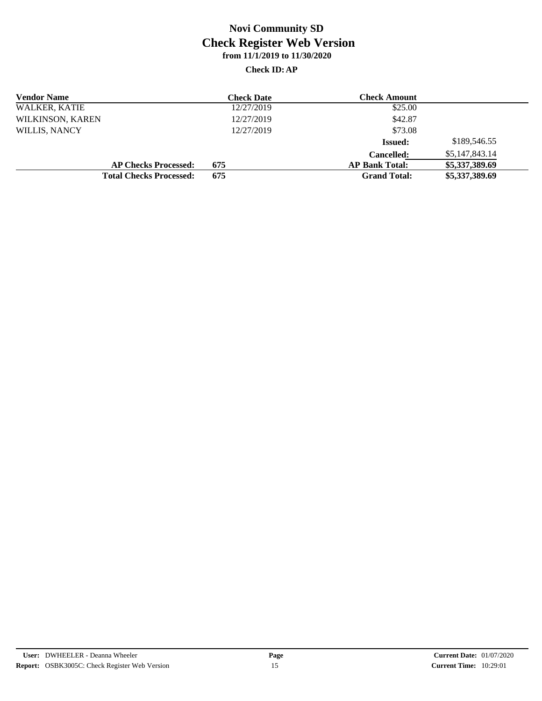| <b>Vendor Name</b>   |                                | <b>Check Date</b> | <b>Check Amount</b>   |                |  |
|----------------------|--------------------------------|-------------------|-----------------------|----------------|--|
| <b>WALKER, KATIE</b> |                                | 12/27/2019        | \$25.00               |                |  |
| WILKINSON, KAREN     |                                | 12/27/2019        | \$42.87               |                |  |
| <b>WILLIS, NANCY</b> |                                | 12/27/2019        | \$73.08               |                |  |
|                      |                                |                   | <b>Issued:</b>        | \$189,546.55   |  |
|                      |                                |                   | <b>Cancelled:</b>     | \$5,147,843.14 |  |
|                      | <b>AP Checks Processed:</b>    | 675               | <b>AP Bank Total:</b> | \$5,337,389.69 |  |
|                      | <b>Total Checks Processed:</b> | 675               | <b>Grand Total:</b>   | \$5,337,389.69 |  |